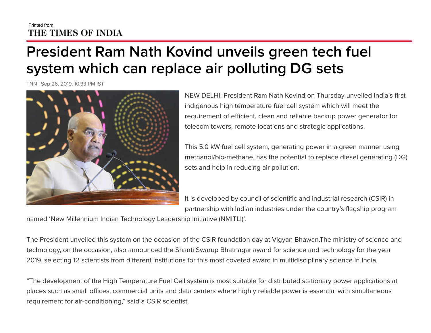## Printed from THE TIMES OF INDIA

## **President Ram Nath Kovind unveils green tech fuel system which can replace air polluting DG sets**

TNN | Sep 26, 2019, 10.33 PM IST



NEW DELHI: President Ram Nath Kovind on Thursday unveiled India's first indigenous high temperature fuel cell system which will meet the requirement of efficient, clean and reliable backup power generator for telecom towers, remote locations and strategic applications.

This 5.0 kW fuel cell system, generating power in a green manner using methanol/bio-methane, has the potential to replace diesel generating (DG) sets and help in reducing air pollution.

It is developed by council of scientific and industrial research (CSIR) in partnership with Indian industries under the country's flagship program

named 'New Millennium Indian Technology Leadership Initiative (NMITLI)'.

The President unveiled this system on the occasion of the CSIR foundation day at Vigyan Bhawan.The ministry of science and technology, on the occasion, also announced the Shanti Swarup Bhatnagar award for science and technology for the year 2019, selecting 12 scientists from different institutions for this most coveted award in multidisciplinary science in India.

"The development of the High Temperature Fuel Cell system is most suitable for distributed stationary power applications at places such as small offices, commercial units and data centers where highly reliable power is essential with simultaneous requirement for air-conditioning," said a CSIR scientist.